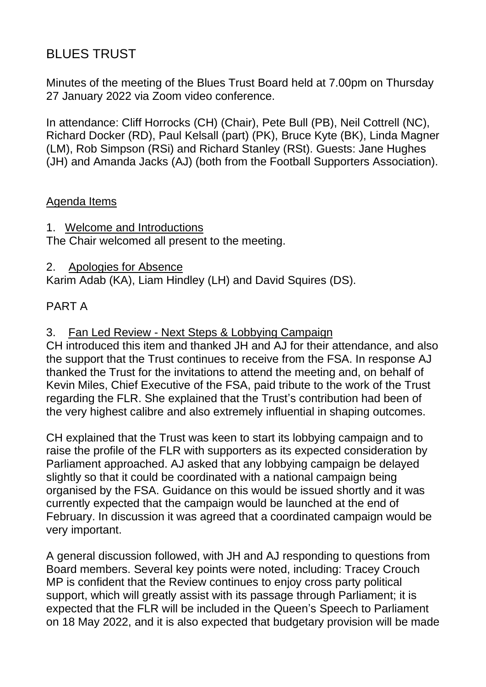# BLUES TRUST

Minutes of the meeting of the Blues Trust Board held at 7.00pm on Thursday 27 January 2022 via Zoom video conference.

In attendance: Cliff Horrocks (CH) (Chair), Pete Bull (PB), Neil Cottrell (NC), Richard Docker (RD), Paul Kelsall (part) (PK), Bruce Kyte (BK), Linda Magner (LM), Rob Simpson (RSi) and Richard Stanley (RSt). Guests: Jane Hughes (JH) and Amanda Jacks (AJ) (both from the Football Supporters Association).

## Agenda Items

1. Welcome and Introductions

The Chair welcomed all present to the meeting.

2. Apologies for Absence Karim Adab (KA), Liam Hindley (LH) and David Squires (DS).

# PART A

3. Fan Led Review - Next Steps & Lobbying Campaign

CH introduced this item and thanked JH and AJ for their attendance, and also the support that the Trust continues to receive from the FSA. In response AJ thanked the Trust for the invitations to attend the meeting and, on behalf of Kevin Miles, Chief Executive of the FSA, paid tribute to the work of the Trust regarding the FLR. She explained that the Trust's contribution had been of the very highest calibre and also extremely influential in shaping outcomes.

CH explained that the Trust was keen to start its lobbying campaign and to raise the profile of the FLR with supporters as its expected consideration by Parliament approached. AJ asked that any lobbying campaign be delayed slightly so that it could be coordinated with a national campaign being organised by the FSA. Guidance on this would be issued shortly and it was currently expected that the campaign would be launched at the end of February. In discussion it was agreed that a coordinated campaign would be very important.

A general discussion followed, with JH and AJ responding to questions from Board members. Several key points were noted, including: Tracey Crouch MP is confident that the Review continues to enjoy cross party political support, which will greatly assist with its passage through Parliament; it is expected that the FLR will be included in the Queen's Speech to Parliament on 18 May 2022, and it is also expected that budgetary provision will be made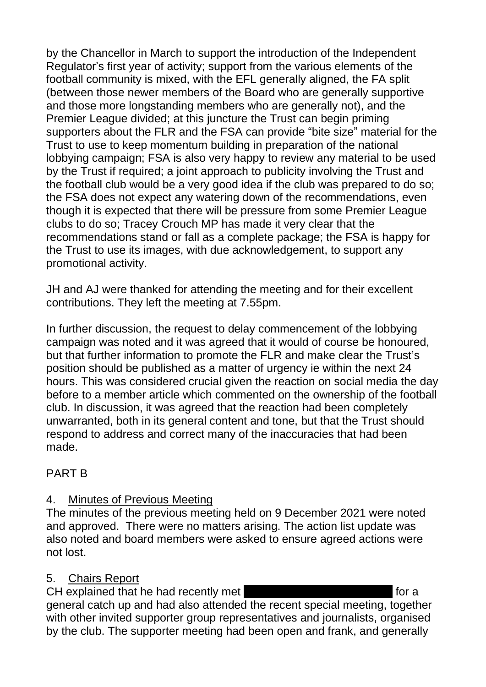by the Chancellor in March to support the introduction of the Independent Regulator's first year of activity; support from the various elements of the football community is mixed, with the EFL generally aligned, the FA split (between those newer members of the Board who are generally supportive and those more longstanding members who are generally not), and the Premier League divided; at this juncture the Trust can begin priming supporters about the FLR and the FSA can provide "bite size" material for the Trust to use to keep momentum building in preparation of the national lobbying campaign; FSA is also very happy to review any material to be used by the Trust if required; a joint approach to publicity involving the Trust and the football club would be a very good idea if the club was prepared to do so; the FSA does not expect any watering down of the recommendations, even though it is expected that there will be pressure from some Premier League clubs to do so; Tracey Crouch MP has made it very clear that the recommendations stand or fall as a complete package; the FSA is happy for the Trust to use its images, with due acknowledgement, to support any promotional activity.

JH and AJ were thanked for attending the meeting and for their excellent contributions. They left the meeting at 7.55pm.

In further discussion, the request to delay commencement of the lobbying campaign was noted and it was agreed that it would of course be honoured, but that further information to promote the FLR and make clear the Trust's position should be published as a matter of urgency ie within the next 24 hours. This was considered crucial given the reaction on social media the day before to a member article which commented on the ownership of the football club. In discussion, it was agreed that the reaction had been completely unwarranted, both in its general content and tone, but that the Trust should respond to address and correct many of the inaccuracies that had been made.

## PART B

# 4. Minutes of Previous Meeting

The minutes of the previous meeting held on 9 December 2021 were noted and approved. There were no matters arising. The action list update was also noted and board members were asked to ensure agreed actions were not lost.

## 5. Chairs Report

CH explained that he had recently met Ich Dutton at the for a general catch up and had also attended the recent special meeting, together with other invited supporter group representatives and journalists, organised by the club. The supporter meeting had been open and frank, and generally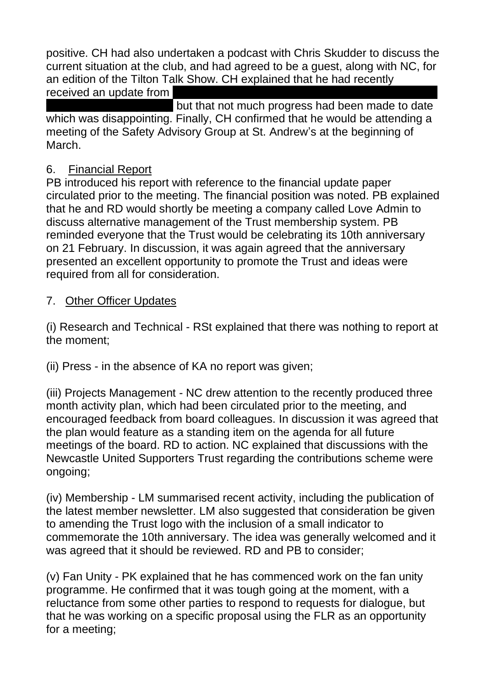positive. CH had also undertaken a podcast with Chris Skudder to discuss the current situation at the club, and had agreed to be a guest, along with NC, for an edition of the Tilton Talk Show. CH explained that he had recently

received an update from

but that not much progress had been made to date which was disappointing. Finally, CH confirmed that he would be attending a meeting of the Safety Advisory Group at St. Andrew's at the beginning of March.

## 6. Financial Report

PB introduced his report with reference to the financial update paper circulated prior to the meeting. The financial position was noted. PB explained that he and RD would shortly be meeting a company called Love Admin to discuss alternative management of the Trust membership system. PB reminded everyone that the Trust would be celebrating its 10th anniversary on 21 February. In discussion, it was again agreed that the anniversary presented an excellent opportunity to promote the Trust and ideas were required from all for consideration.

## 7. Other Officer Updates

(i) Research and Technical - RSt explained that there was nothing to report at the moment;

(ii) Press - in the absence of KA no report was given;

(iii) Projects Management - NC drew attention to the recently produced three month activity plan, which had been circulated prior to the meeting, and encouraged feedback from board colleagues. In discussion it was agreed that the plan would feature as a standing item on the agenda for all future meetings of the board. RD to action. NC explained that discussions with the Newcastle United Supporters Trust regarding the contributions scheme were ongoing;

(iv) Membership - LM summarised recent activity, including the publication of the latest member newsletter. LM also suggested that consideration be given to amending the Trust logo with the inclusion of a small indicator to commemorate the 10th anniversary. The idea was generally welcomed and it was agreed that it should be reviewed. RD and PB to consider;

(v) Fan Unity - PK explained that he has commenced work on the fan unity programme. He confirmed that it was tough going at the moment, with a reluctance from some other parties to respond to requests for dialogue, but that he was working on a specific proposal using the FLR as an opportunity for a meeting;